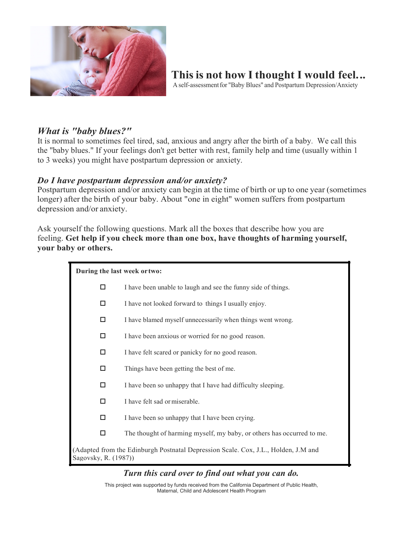

# **Thisis not how Ithought I would feel...**

A self-assessmentfor "Baby Blues" and Postpartum Depression/Anxiety

## *What is "baby blues?"*

It is normal to sometimes feel tired, sad, anxious and angry after the birth of a baby. We call this the "baby blues." If your feelings don't get better with rest, family help and time (usually within 1 to 3 weeks) you might have postpartum depression or anxiety.

#### *Do I have postpartum depression and/or anxiety?*

Postpartum depression and/or anxiety can begin at the time of birth or up to one year (sometimes longer) after the birth of your baby. About "one in eight" women suffers from postpartum depression and/or anxiety.

Ask yourself the following questions. Mark all the boxes that describe how you are feeling. **Get help if you check more than one box, have thoughts of harming yourself, your baby or others.**

**During the last week ortwo:**

- $\Box$  I have been unable to laugh and see the funny side of things.
- $\Box$  I have not looked forward to things I usually enjoy.
- $\Box$  I have blamed myself unnecessarily when things went wrong.
- $\Box$  I have been anxious or worried for no good reason.
- $\Box$  I have felt scared or panicky for no good reason.
- $\square$  Things have been getting the best of me.
- $\Box$  I have been so unhappy that I have had difficulty sleeping.
- $\Box$  I have felt sad or miserable.
- $\Box$  I have been so unhappy that I have been crying.
- $\Box$  The thought of harming myself, my baby, or others has occurred to me.

(Adapted from the Edinburgh Postnatal Depression Scale. Cox, J.L., Holden, J.M and Sagovsky, R. (1987))

#### *Turn this card over to find out what you can do.*

This project was supported by funds received from the California Department of Public Health, Maternal, Child and Adolescent Health Program